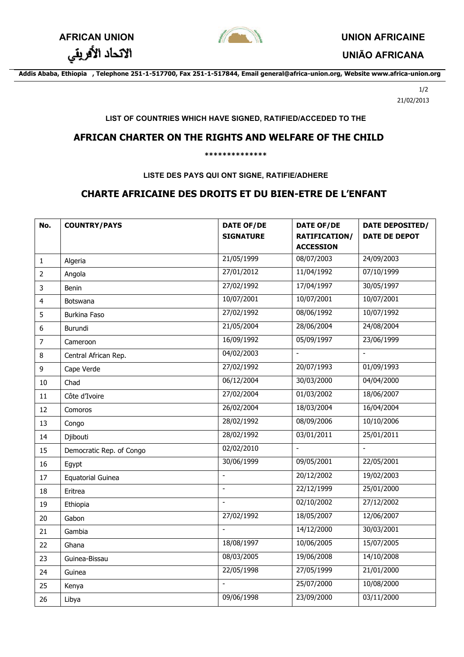

الاتحاد الأفريقي

**UNIÃO AFRICANA**

**Addis Ababa, Ethiopia , Telephone 251-1-517700, Fax 251-1-517844, Email general@africa-union.org, Website www.africa-union.org**

1/2 21/02/2013

### **LIST OF COUNTRIES WHICH HAVE SIGNED, RATIFIED/ACCEDED TO THE**

## **AFRICAN CHARTER ON THE RIGHTS AND WELFARE OF THE CHILD**

#### **\*\*\*\*\*\*\*\*\*\*\*\*\*\***

**LISTE DES PAYS QUI ONT SIGNE, RATIFIE/ADHERE**

# **CHARTE AFRICAINE DES DROITS ET DU BIEN-ETRE DE L'ENFANT**

| No.                     | <b>COUNTRY/PAYS</b>      | <b>DATE OF/DE</b><br><b>SIGNATURE</b> | <b>DATE OF/DE</b><br><b>RATIFICATION/</b><br><b>ACCESSION</b> | DATE DEPOSITED/<br><b>DATE DE DEPOT</b> |
|-------------------------|--------------------------|---------------------------------------|---------------------------------------------------------------|-----------------------------------------|
| $\mathbf{1}$            | Algeria                  | 21/05/1999                            | 08/07/2003                                                    | 24/09/2003                              |
| $\overline{2}$          | Angola                   | 27/01/2012                            | 11/04/1992                                                    | 07/10/1999                              |
| 3                       | <b>Benin</b>             | 27/02/1992                            | 17/04/1997                                                    | 30/05/1997                              |
| $\overline{\mathbf{4}}$ | <b>Botswana</b>          | 10/07/2001                            | 10/07/2001                                                    | 10/07/2001                              |
| 5                       | <b>Burkina Faso</b>      | 27/02/1992                            | 08/06/1992                                                    | 10/07/1992                              |
| 6                       | Burundi                  | 21/05/2004                            | 28/06/2004                                                    | 24/08/2004                              |
| $\overline{7}$          | Cameroon                 | 16/09/1992                            | 05/09/1997                                                    | 23/06/1999                              |
| 8                       | Central African Rep.     | 04/02/2003                            | $\overline{\phantom{a}}$                                      | $\blacksquare$                          |
| 9                       | Cape Verde               | 27/02/1992                            | 20/07/1993                                                    | 01/09/1993                              |
| 10                      | Chad                     | 06/12/2004                            | 30/03/2000                                                    | 04/04/2000                              |
| 11                      | Côte d'Ivoire            | 27/02/2004                            | 01/03/2002                                                    | 18/06/2007                              |
| 12                      | Comoros                  | 26/02/2004                            | 18/03/2004                                                    | 16/04/2004                              |
| 13                      | Congo                    | 28/02/1992                            | 08/09/2006                                                    | 10/10/2006                              |
| 14                      | Djibouti                 | 28/02/1992                            | 03/01/2011                                                    | 25/01/2011                              |
| 15                      | Democratic Rep. of Congo | 02/02/2010                            | $\overline{\phantom{a}}$                                      | $\overline{\phantom{a}}$                |
| 16                      | Egypt                    | 30/06/1999                            | 09/05/2001                                                    | 22/05/2001                              |
| 17                      | <b>Equatorial Guinea</b> | $\frac{1}{2}$                         | 20/12/2002                                                    | 19/02/2003                              |
| 18                      | Eritrea                  | $\overline{a}$                        | 22/12/1999                                                    | 25/01/2000                              |
| 19                      | Ethiopia                 |                                       | 02/10/2002                                                    | 27/12/2002                              |
| 20                      | Gabon                    | 27/02/1992                            | 18/05/2007                                                    | 12/06/2007                              |
| 21                      | Gambia                   | $\overline{a}$                        | 14/12/2000                                                    | 30/03/2001                              |
| 22                      | Ghana                    | 18/08/1997                            | 10/06/2005                                                    | 15/07/2005                              |
| 23                      | Guinea-Bissau            | 08/03/2005                            | 19/06/2008                                                    | 14/10/2008                              |
| 24                      | Guinea                   | 22/05/1998                            | 27/05/1999                                                    | 21/01/2000                              |
| 25                      | Kenya                    | $\overline{a}$                        | 25/07/2000                                                    | 10/08/2000                              |
| 26                      | Libya                    | 09/06/1998                            | 23/09/2000                                                    | 03/11/2000                              |